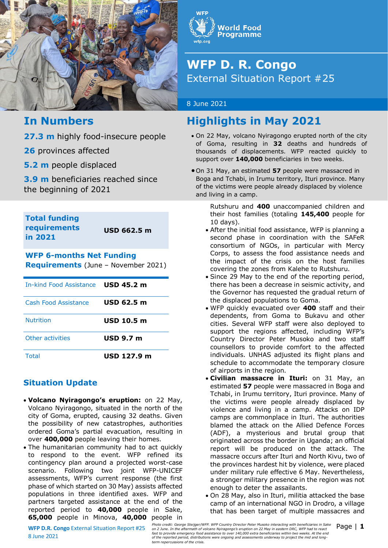



# **WFP D. R. Congo** External Situation Report #25

### 8 June 2021

# **Highlights in May 2021**

- On 22 May, volcano Nyiragongo erupted north of the city of Goma, resulting in **32** deaths and hundreds of thousands of displacements. WFP reacted quickly to support over **140,000** beneficiaries in two weeks.
- On 31 May, an estimated **57** people were massacred in Boga and Tchabi, in Irumu territory, Ituri province. Many of the victims were people already displaced by violence and living in a camp.

Rutshuru and **400** unaccompanied children and their host families (totaling **145,400** people for 10 days).

- After the initial food assistance, WFP is planning a second phase in coordination with the SAFeR consortium of NGOs, in particular with Mercy Corps, to assess the food assistance needs and the impact of the crisis on the host families covering the zones from Kalehe to Rutshuru.
- Since 29 May to the end of the reporting period, there has been a decrease in seismic activity, and the Governor has requested the gradual return of the displaced populations to Goma.
- WFP quickly evacuated over **400** staff and their dependents, from Goma to Bukavu and other cities. Several WFP staff were also deployed to support the regions affected, including WFP's Country Director Peter Musoko and two staff counsellors to provide comfort to the affected individuals. UNHAS adjusted its flight plans and schedule to accommodate the temporary closure of airports in the region.
- **Civilian massacre in Ituri:** on 31 May, an estimated **57** people were massacred in Boga and Tchabi, in Irumu territory, Ituri province. Many of the victims were people already displaced by violence and living in a camp. Attacks on IDP camps are commonplace in Ituri. The authorities blamed the attack on the Allied Defence Forces (ADF), a mysterious and brutal group that originated across the border in Uganda; an official report will be produced on the attack. The massacre occurs after Ituri and North Kivu, two of the provinces hardest hit by violence, were placed under military rule effective 6 May. Nevertheless, a stronger military presence in the region was not enough to deter the assailants.
- On 28 May, also in Ituri, militia attacked the base camp of an international NGO in Drodro, a village that has been target of multiple massacres and

# **In Numbers**

**27.3 m** highly food-insecure people

**26** provinces affected

**5.2 m** people displaced

**3.9 m** beneficiaries reached since the beginning of 2021

**Total funding requirements in 2021**

**USD 662.5 m**

## **WFP 6-months Net Funding Requirements** (June – November 2021)

| In-kind Food Assistance USD 45.2 m |                  |
|------------------------------------|------------------|
| Cash Food Assistance               | USD 62.5 m       |
| <b>Nutrition</b>                   | USD 10.5 m       |
| Other activities                   | <b>USD 9.7 m</b> |
| Total                              | USD 127.9 m      |

## **Situation Update**

- **Volcano Nyiragongo's eruption:** on 22 May, Volcano Nyiragongo, situated in the north of the city of Goma, erupted, causing 32 deaths. Given the possibility of new catastrophes, authorities ordered Goma's partial evacuation, resulting in over **400,000** people leaving their homes.
- The humanitarian community had to act quickly to respond to the event. WFP refined its contingency plan around a projected worst-case scenario. Following two joint WFP-UNICEF assessments, WFP's current response (the first phase of which started on 30 May) assists affected populations in three identified axes. WFP and partners targeted assistance at the end of the reported period to **40,000** people in Sake, **65,000** people in Minova, **40,000** people in

8 June 2021

Photo credit: George Steijger/WFP. WFP Country Director Peter Musoko interacting with beneficiaries in Sake Page | 1<br>An 2.1 Metaftermath of volcano no 2.1 Mexic and the and the aftermath of volcano Nyiragongo's eruption o *Photo credit: George Steijger/WFP. WFP Country Director Peter Musoko interacting with beneficiaries in Sake of the reported period, distributions were ongoing and assessments underway to project the mid and longterm repercussions of the crisis.*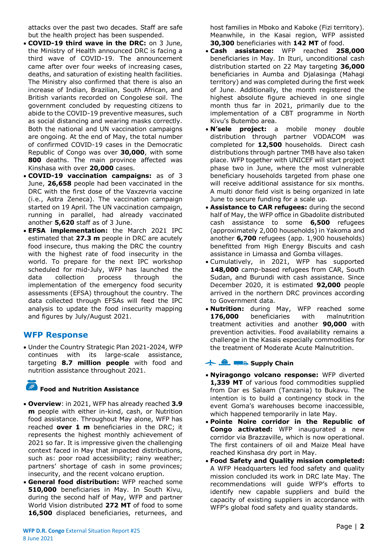attacks over the past two decades. Staff are safe but the health project has been suspended.

- **COVID-19 third wave in the DRC:** on 3 June, the Ministry of Health announced DRC is facing a third wave of COVID-19. The announcement came after over four weeks of increasing cases, deaths, and saturation of existing health facilities. The Ministry also confirmed that there is also an increase of Indian, Brazilian, South African, and British variants recorded on Congolese soil. The government concluded by requesting citizens to abide to the COVID-19 preventive measures, such as social distancing and wearing masks correctly. Both the national and UN vaccination campaigns are ongoing. At the end of May, the total number of confirmed COVID-19 cases in the Democratic Republic of Congo was over **30,000**, with some **800** deaths. The main province affected was Kinshasa with over **20,000** cases.
- **COVID-19 vaccination campaigns:** as of 3 June, **26,658** people had been vaccinated in the DRC with the first dose of the Vaxzevria vaccine (i.e., Astra Zeneca). The vaccination campaign started on 19 April. The UN vaccination campaign, running in parallel, had already vaccinated another **5,620** staff as of 3 June.
- **EFSA implementation:** the March 2021 IPC estimated that **27.3 m** people in DRC are acutely food insecure, thus making the DRC the country with the highest rate of food insecurity in the world. To prepare for the next IPC workshop scheduled for mid-July, WFP has launched the data collection process through the implementation of the emergency food security assessments (EFSA) throughout the country. The data collected through EFSAs will feed the IPC analysis to update the food insecurity mapping and figures by July/August 2021.

## **WFP Response**

 Under the Country Strategic Plan 2021-2024, WFP continues with its large-scale assistance, targeting **8.7 million people** with food and nutrition assistance throughout 2021.

#### $\mathbb{R}^2$ **Food and Nutrition Assistance**

- **Overview**: in 2021, WFP has already reached **3.9 m** people with either in-kind, cash, or Nutrition food assistance. Throughout May alone, WFP has reached **over 1 m** beneficiaries in the DRC; it represents the highest monthly achievement of 2021 so far. It is impressive given the challenging context faced in May that impacted distributions, such as: poor road accessibility; rainy weather; partners' shortage of cash in some provinces; insecurity, and the recent volcano eruption.
- **General food distribution:** WFP reached some **510,000** beneficiaries in May. In South Kivu, during the second half of May, WFP and partner World Vision distributed **272 MT** of food to some 16,500 displaced beneficiaries, returnees, and

host families in Mboko and Kaboke (Fizi territory). Meanwhile, in the Kasai region, WFP assisted **30,300** beneficiaries with **142 MT** of food.

- **Cash assistance:** WFP reached **258,000** beneficiaries in May. In Ituri, unconditional cash distribution started on 22 May targeting **36,000** beneficiaries in Aumba and Djalasinga (Mahagi territory) and was completed during the first week of June. Additionally, the month registered the highest absolute figure achieved in one single month thus far in 2021, primarily due to the implementation of a CBT programme in North Kivu's Butembo area.
- **N'sele project:** a mobile money double distribution through partner VODACOM was completed for **12,500** households. Direct cash distributions through partner TMB have also taken place. WFP together with UNICEF will start project phase two in June, where the most vulnerable beneficiary households targeted from phase one will receive additional assistance for six months. A multi donor field visit is being organized in late June to secure funding for a scale up.
- **Assistance to CAR refugees:** during the second half of May, the WFP office in Gbadolite distributed cash assistance to some **6,500** refugees (approximately 2,000 households) in Yakoma and another **6,700** refugees (app. 1,900 households) benefitted from High Energy Biscuits and cash assistance in Limassa and Gomba villages.
- Cumulatively, in 2021, WFP has supported **148,000** camp-based refugees from CAR, South Sudan, and Burundi with cash assistance. Since December 2020, it is estimated **92,000** people arrived in the northern DRC provinces according to Government data.
- **Nutrition:** during May, WFP reached some **176,000** beneficiaries with malnutrition treatment activities and another **90,000** with prevention activities. Food availability remains a challenge in the Kasais especially commodities for the treatment of Moderate Acute Malnutrition.

## **卡 鱼** 二、Supply Chain

- **Nyiragongo volcano response:** WFP diverted **1,339 MT** of various food commodities supplied from Dar es Salaam (Tanzania) to Bukavu. The intention is to build a contingency stock in the event Goma's warehouses become inaccessible, which happened temporarily in late May.
- **Pointe Noire corridor in the Republic of Congo activated:** WFP inaugurated a new corridor via Brazzaville, which is now operational. The first containers of oil and Maize Meal have reached Kinshasa dry port in May.
- **Food Safety and Quality mission completed:**  A WFP Headquarters led food safety and quality mission concluded its work in DRC late May. The recommendations will guide WFP's efforts to identify new capable suppliers and build the capacity of existing suppliers in accordance with WFP's global food safety and quality standards.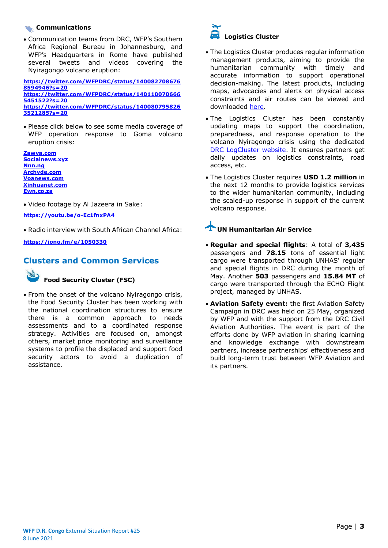### **Communications**

 Communication teams from DRC, WFP's Southern Africa Regional Bureau in Johannesburg, and WFP's Headquarters in Rome have published several tweets and videos covering the Nyiragongo volcano eruption:

**[https://twitter.com/WFPDRC/status/140082708676](https://twitter.com/WFPDRC/status/1400827086768594946?s=20) [8594946?s=20](https://twitter.com/WFPDRC/status/1400827086768594946?s=20) [https://twitter.com/WFPDRC/status/140110070666](https://twitter.com/WFPDRC/status/1401100706665451522?s=20) [5451522?s=20](https://twitter.com/WFPDRC/status/1401100706665451522?s=20)  [https://twitter.com/WFPDRC/status/140080795826](https://twitter.com/WFPDRC/status/1400807958263521285?s=20) [3521285?s=20](https://twitter.com/WFPDRC/status/1400807958263521285?s=20)** 

 Please click below to see some media coverage of WFP operation response to Goma volcano eruption crisis:

**[Zawya.com](https://www.zawya.com/mena/en/press-releases/story/World_Food_Programme_WFP_provides_food_to_thousands_displaced_from_Goma_after_Volcano_eruption-AFPR0206202127172/) [Socialnews.xyz](https://www.socialnews.xyz/2021/06/02/world-food-programme-wfp-provides-food-to-thousands-displaced-from-goma-after-volcano-eruption/) [Nnn.ng](https://nnn.ng/wfp-provides-food-to-thousands-displaced-from-goma-after-volcano-eruption/) [Archyde.com](https://www.archyde.com/un-food-assistance-to-https:/newsbeezer.com/ethiopia/the-world-food-program-wfp-provides-food-to-thousands-of-people-displaced-from-goma-after-the-volcanic-eruption-2/displaced-people-from-goma/) [Voanews.com](https://www.voanews.com/africa/350000-victims-goma-volcanic-eruption-urgently-need-aid-un-says?amp) [Xinhuanet.com](http://french.xinhuanet.com/2021-05/31/c_139980740.htm) [Ewn.co.za](https://ewn.co.za/2021/06/01/defying-warnings-inhabitants-return-to-dr-congo-s-volcano-city)**

Video footage by Al Jazeera in Sake:

**<https://youtu.be/o-Ec1fnxPA4>**

Radio interview with South African Channel Africa:

**<https://iono.fm/e/1050330>**

## **Clusters and Common Services**



### **Food Security Cluster (FSC)**

 From the onset of the volcano Nyiragongo crisis, the Food Security Cluster has been working with the national coordination structures to ensure there is a common approach to needs assessments and to a coordinated response strategy. Activities are focused on, amongst others, market price monitoring and surveillance systems to profile the displaced and support food security actors to avoid a duplication of assistance.



- The Logistics Cluster produces regular information management products, aiming to provide the humanitarian community with timely and accurate information to support operational decision-making. The latest products, including maps, advocacies and alerts on physical access constraints and air routes can be viewed and downloaded [here.](https://logcluster.org/ops/drc)
- The Logistics Cluster has been constantly updating maps to support the coordination, preparedness, and response operation to the volcano Nyiragongo crisis using the dedicated [DRC LogCluster website.](https://eur03.safelinks.protection.outlook.com/?url=https%3A%2F%2Flogcluster.org%2Fdocument%2Frdc-cluster-logistique-catalogue-des-cartes-mai-2021&data=04%7C01%7Cleonardo.dasilveira%40wfp.org%7C1fdb33b045e94bdd187508d929a2f1ac%7C462ad9aed7d94206b87471b1e079776f%7C0%7C0%7C637586602158508114%7CUnknown%7CTWFpbGZsb3d8eyJWIjoiMC4wLjAwMDAiLCJQIjoiV2luMzIiLCJBTiI6Ik1haWwiLCJXVCI6Mn0%3D%7C1000&sdata=7ARxN6d3Rrambif1gtPJmcxG3eVbm4%2Fl4EjewFqvn3s%3D&reserved=0) It ensures partners get daily updates on logistics constraints, road access, etc.
- The Logistics Cluster requires **USD 1.2 million** in the next 12 months to provide logistics services to the wider humanitarian community, including the scaled-up response in support of the current volcano response.

## **UN Humanitarian Air Service**

- **Regular and special flights**: A total of **3,435** passengers and **78.15** tons of essential light cargo were transported through UNHAS' regular and special flights in DRC during the month of May. Another **503** passengers and **15.84 MT** of cargo were transported through the ECHO Flight project, managed by UNHAS.
- **Aviation Safety event:** the first Aviation Safety Campaign in DRC was held on 25 May, organized by WFP and with the support from the DRC Civil Aviation Authorities. The event is part of the efforts done by WFP aviation in sharing learning and knowledge exchange with downstream partners, increase partnerships' effectiveness and build long-term trust between WFP Aviation and its partners.